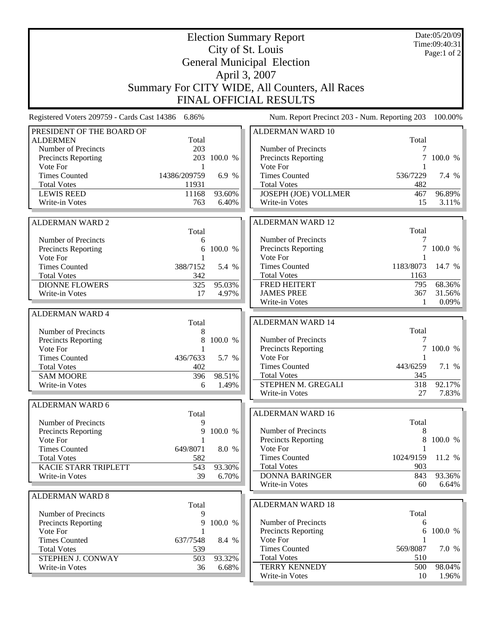|                                                   | Date:05/20/09<br>Time:09:40:31 |                 |                                               |                 |         |  |  |  |  |  |  |
|---------------------------------------------------|--------------------------------|-----------------|-----------------------------------------------|-----------------|---------|--|--|--|--|--|--|
|                                                   |                                | Page:1 of 2     |                                               |                 |         |  |  |  |  |  |  |
| <b>General Municipal Election</b>                 |                                |                 |                                               |                 |         |  |  |  |  |  |  |
| April 3, 2007                                     |                                |                 |                                               |                 |         |  |  |  |  |  |  |
|                                                   |                                |                 |                                               |                 |         |  |  |  |  |  |  |
| Summary For CITY WIDE, All Counters, All Races    |                                |                 |                                               |                 |         |  |  |  |  |  |  |
| <b>FINAL OFFICIAL RESULTS</b>                     |                                |                 |                                               |                 |         |  |  |  |  |  |  |
| Registered Voters 209759 - Cards Cast 14386 6.86% |                                |                 | Num. Report Precinct 203 - Num. Reporting 203 |                 | 100.00% |  |  |  |  |  |  |
| PRESIDENT OF THE BOARD OF                         |                                |                 | <b>ALDERMAN WARD 10</b>                       |                 |         |  |  |  |  |  |  |
| <b>ALDERMEN</b>                                   | Total                          |                 |                                               | Total           |         |  |  |  |  |  |  |
| Number of Precincts                               | 203                            |                 | Number of Precincts                           |                 |         |  |  |  |  |  |  |
| Precincts Reporting                               | 1                              | 203 100.0 %     | Precincts Reporting                           | 7               | 100.0 % |  |  |  |  |  |  |
| Vote For<br><b>Times Counted</b>                  | 14386/209759                   | 6.9 %           | Vote For<br><b>Times Counted</b>              | 536/7229        | 7.4 %   |  |  |  |  |  |  |
| <b>Total Votes</b>                                | 11931                          |                 | <b>Total Votes</b>                            | 482             |         |  |  |  |  |  |  |
| <b>LEWIS REED</b>                                 | 11168                          | 93.60%          | <b>JOSEPH (JOE) VOLLMER</b>                   | 467             | 96.89%  |  |  |  |  |  |  |
| Write-in Votes                                    | 763                            | 6.40%           | Write-in Votes                                | 15              | 3.11%   |  |  |  |  |  |  |
|                                                   |                                |                 |                                               |                 |         |  |  |  |  |  |  |
| <b>ALDERMAN WARD 2</b>                            |                                |                 | <b>ALDERMAN WARD 12</b>                       |                 |         |  |  |  |  |  |  |
|                                                   | Total                          |                 |                                               | Total           |         |  |  |  |  |  |  |
| Number of Precincts                               | 6                              |                 | Number of Precincts                           | 7               |         |  |  |  |  |  |  |
| Precincts Reporting                               | 6                              | 100.0 %         | Precincts Reporting                           | 7               | 100.0 % |  |  |  |  |  |  |
| Vote For<br><b>Times Counted</b>                  | 388/7152                       |                 | Vote For<br><b>Times Counted</b>              | 1183/8073       | 14.7 %  |  |  |  |  |  |  |
| <b>Total Votes</b>                                | 342                            | 5.4 %           | <b>Total Votes</b>                            | 1163            |         |  |  |  |  |  |  |
| <b>DIONNE FLOWERS</b>                             | 325                            | 95.03%          | FRED HEITERT                                  | 795             | 68.36%  |  |  |  |  |  |  |
| Write-in Votes                                    | 17                             | 4.97%           | <b>JAMES PREE</b>                             | 367             | 31.56%  |  |  |  |  |  |  |
|                                                   |                                |                 | Write-in Votes                                | $\mathbf{1}$    | 0.09%   |  |  |  |  |  |  |
| <b>ALDERMAN WARD 4</b>                            |                                |                 |                                               |                 |         |  |  |  |  |  |  |
|                                                   | Total                          |                 | <b>ALDERMAN WARD 14</b>                       |                 |         |  |  |  |  |  |  |
| Number of Precincts                               | 8                              |                 |                                               | Total           |         |  |  |  |  |  |  |
| Precincts Reporting<br>Vote For                   | 8                              | 100.0 %         | Number of Precincts                           | 7<br>7          | 100.0 % |  |  |  |  |  |  |
| <b>Times Counted</b>                              | 436/7633                       | 5.7 %           | Precincts Reporting<br>Vote For               |                 |         |  |  |  |  |  |  |
| <b>Total Votes</b>                                | 402                            |                 | <b>Times Counted</b>                          | 443/6259        | 7.1 %   |  |  |  |  |  |  |
| <b>SAM MOORE</b>                                  | 396                            | 98.51%          | <b>Total Votes</b>                            | 345             |         |  |  |  |  |  |  |
| Write-in Votes                                    | 6                              | 1.49%           | STEPHEN M. GREGALI                            | 318             | 92.17%  |  |  |  |  |  |  |
|                                                   |                                |                 | Write-in Votes                                | 27              | 7.83%   |  |  |  |  |  |  |
| <b>ALDERMAN WARD 6</b>                            |                                |                 |                                               |                 |         |  |  |  |  |  |  |
|                                                   | Total                          |                 | <b>ALDERMAN WARD 16</b>                       |                 |         |  |  |  |  |  |  |
| Number of Precincts                               | 9                              |                 |                                               | Total           |         |  |  |  |  |  |  |
| <b>Precincts Reporting</b>                        | 9                              | 100.0 %         | Number of Precincts                           | 8               |         |  |  |  |  |  |  |
| Vote For                                          | 1                              |                 | Precincts Reporting                           | 8               | 100.0 % |  |  |  |  |  |  |
| <b>Times Counted</b><br><b>Total Votes</b>        | 649/8071<br>582                | 8.0 %           | Vote For<br><b>Times Counted</b>              | 1024/9159       | 11.2 %  |  |  |  |  |  |  |
| <b>KACIE STARR TRIPLETT</b>                       | 543                            | 93.30%          | <b>Total Votes</b>                            | 903             |         |  |  |  |  |  |  |
| Write-in Votes                                    | 39                             | 6.70%           | <b>DONNA BARINGER</b>                         | 843             | 93.36%  |  |  |  |  |  |  |
|                                                   |                                |                 | Write-in Votes                                | 60              | 6.64%   |  |  |  |  |  |  |
| <b>ALDERMAN WARD 8</b>                            |                                |                 |                                               |                 |         |  |  |  |  |  |  |
|                                                   | Total                          |                 | <b>ALDERMAN WARD 18</b>                       |                 |         |  |  |  |  |  |  |
| Number of Precincts                               | 9                              |                 |                                               | Total           |         |  |  |  |  |  |  |
| Precincts Reporting                               | 9                              | 100.0 %         | Number of Precincts                           | 6               |         |  |  |  |  |  |  |
| Vote For                                          |                                |                 | Precincts Reporting                           | 6               | 100.0 % |  |  |  |  |  |  |
| <b>Times Counted</b>                              | 637/7548                       | 8.4 %           | Vote For<br><b>Times Counted</b>              |                 |         |  |  |  |  |  |  |
| <b>Total Votes</b><br>STEPHEN J. CONWAY           | 539                            |                 | <b>Total Votes</b>                            | 569/8087<br>510 | 7.0 %   |  |  |  |  |  |  |
| Write-in Votes                                    | 503<br>36                      | 93.32%<br>6.68% | <b>TERRY KENNEDY</b>                          | 500             | 98.04%  |  |  |  |  |  |  |
|                                                   |                                |                 | Write-in Votes                                | 10              | 1.96%   |  |  |  |  |  |  |
|                                                   |                                |                 |                                               |                 |         |  |  |  |  |  |  |